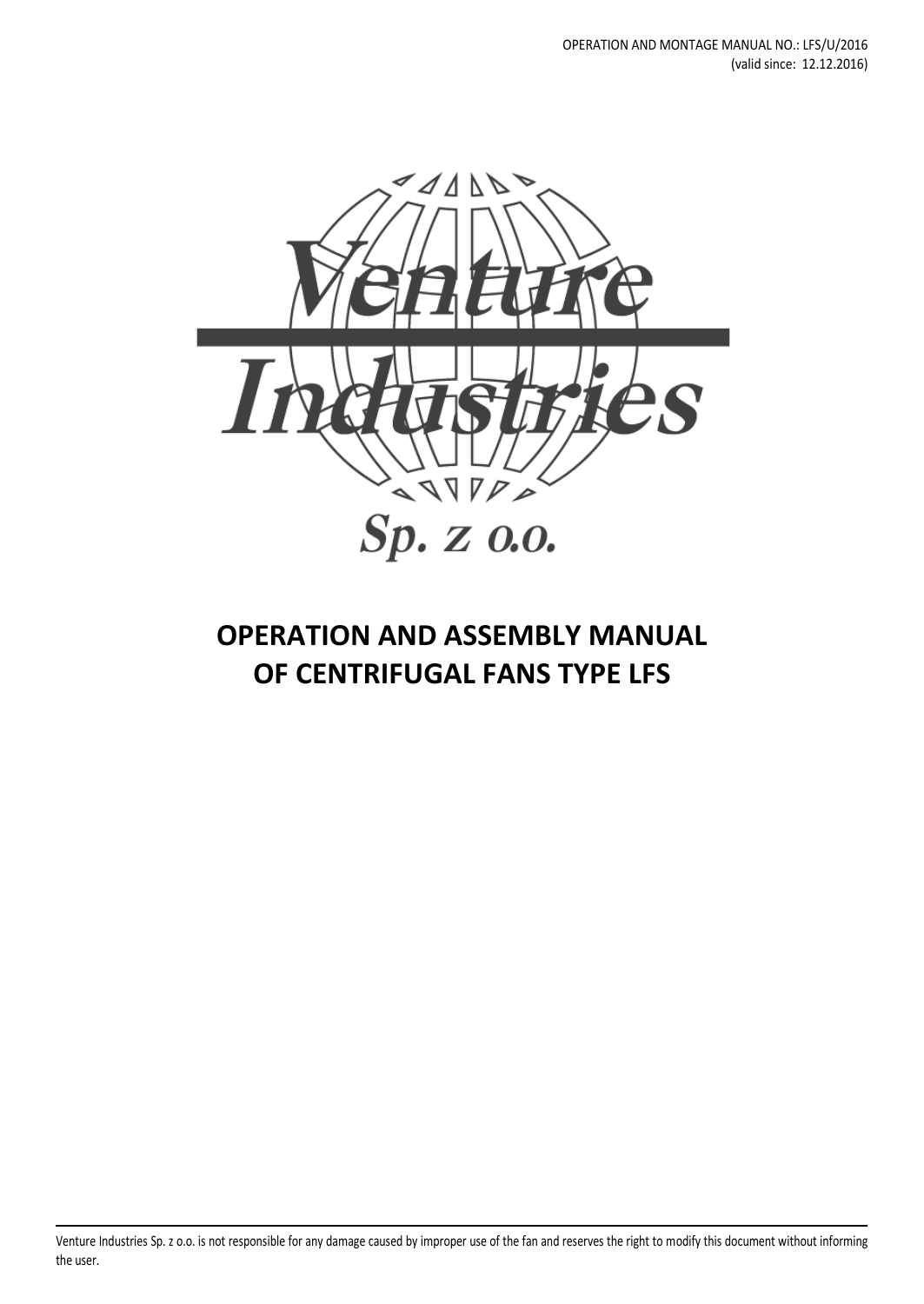

# **OPERATION AND ASSEMBLY MANUAL OF CENTRIFUGAL FANS TYPE LFS**

Venture Industries Sp. z o.o. is not responsible for any damage caused by improper use of the fan and reserves the right to modify this document without informing the user.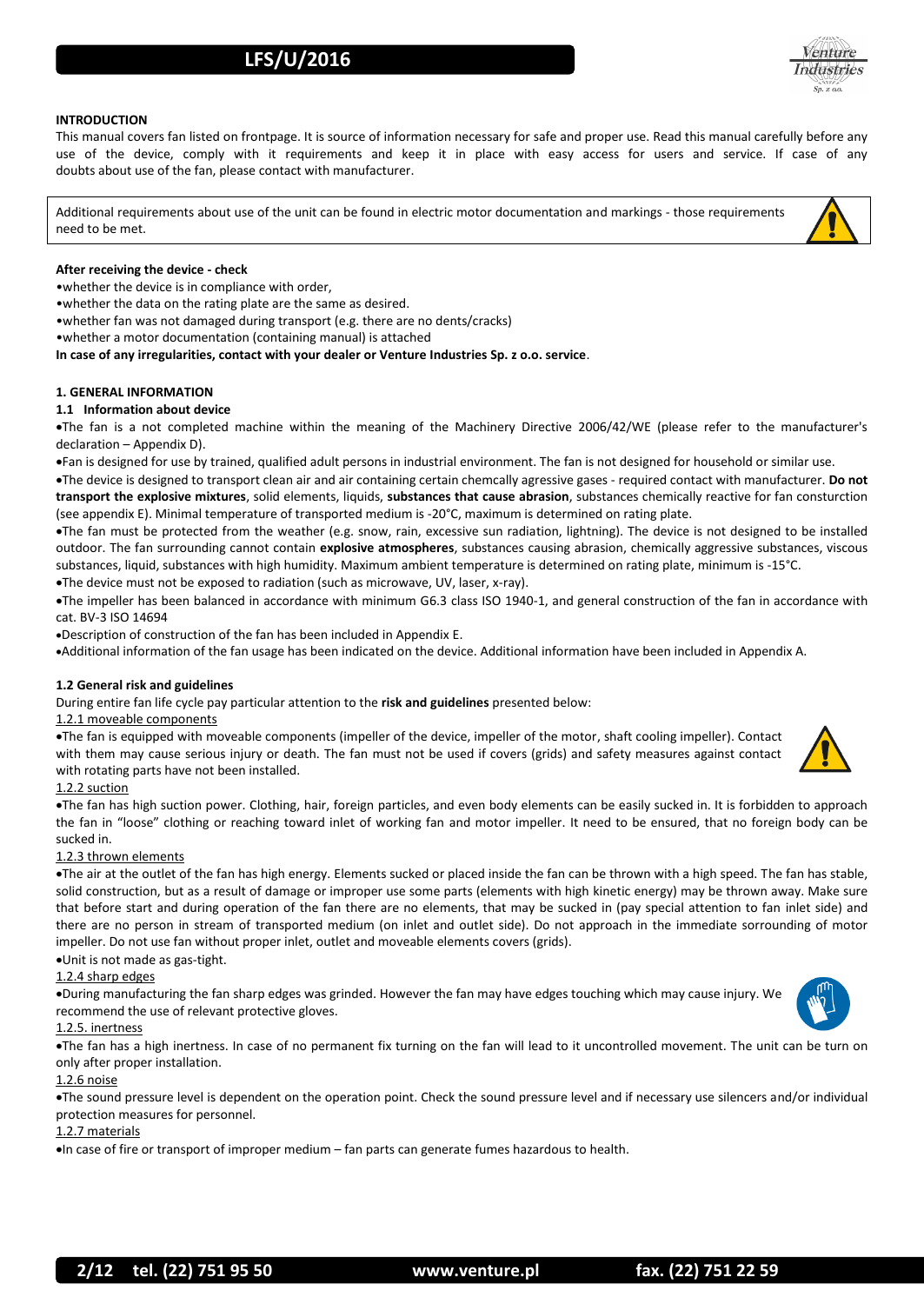

### **INTRODUCTION**

This manual covers fan listed on frontpage. It is source of information necessary for safe and proper use. Read this manual carefully before any use of the device, comply with it requirements and keep it in place with easy access for users and service. If case of any doubts about use of the fan, please contact with manufacturer.

Additional requirements about use of the unit can be found in electric motor documentation and markings - those requirements need to be met.

### **After receiving the device - check**

•whether the device is in compliance with order,

•whether the data on the rating plate are the same as desired.

•whether fan was not damaged during transport (e.g. there are no dents/cracks)

•whether a motor documentation (containing manual) is attached

**In case of any irregularities, contact with your dealer or Venture Industries Sp. z o.o. service**.

### **1. GENERAL INFORMATION**

#### **1.1 Information about device**

The fan is a not completed machine within the meaning of the Machinery Directive 2006/42/WE (please refer to the manufacturer's declaration – Appendix D).

Fan is designed for use by trained, qualified adult persons in industrial environment. The fan is not designed for household or similar use.

The device is designed to transport clean air and air containing certain chemcally agressive gases - required contact with manufacturer. **Do not transport the explosive mixtures**, solid elements, liquids, **substances that cause abrasion**, substances chemically reactive for fan consturction (see appendix E). Minimal temperature of transported medium is -20°C, maximum is determined on rating plate.

The fan must be protected from the weather (e.g. snow, rain, excessive sun radiation, lightning). The device is not designed to be installed outdoor. The fan surrounding cannot contain **explosive atmospheres**, substances causing abrasion, chemically aggressive substances, viscous substances, liquid, substances with high humidity. Maximum ambient temperature is determined on rating plate, minimum is -15°C.

The device must not be exposed to radiation (such as microwave, UV, laser, x-ray).

The impeller has been balanced in accordance with minimum G6.3 class ISO 1940-1, and general construction of the fan in accordance with cat. BV-3 ISO 14694

Description of construction of the fan has been included in Appendix E.

Additional information of the fan usage has been indicated on the device. Additional information have been included in Appendix A.

### **1.2 General risk and guidelines**

During entire fan life cycle pay particular attention to the **risk and guidelines** presented below:

### 1.2.1 moveable components

The fan is equipped with moveable components (impeller of the device, impeller of the motor, shaft cooling impeller). Contact with them may cause serious injury or death. The fan must not be used if covers (grids) and safety measures against contact with rotating parts have not been installed.

### 1.2.2 suction

The fan has high suction power. Clothing, hair, foreign particles, and even body elements can be easily sucked in. It is forbidden to approach the fan in "loose" clothing or reaching toward inlet of working fan and motor impeller. It need to be ensured, that no foreign body can be sucked in.

### 1.2.3 thrown elements

The air at the outlet of the fan has high energy. Elements sucked or placed inside the fan can be thrown with a high speed. The fan has stable, solid construction, but as a result of damage or improper use some parts (elements with high kinetic energy) may be thrown away. Make sure that before start and during operation of the fan there are no elements, that may be sucked in (pay special attention to fan inlet side) and there are no person in stream of transported medium (on inlet and outlet side). Do not approach in the immediate sorrounding of motor impeller. Do not use fan without proper inlet, outlet and moveable elements covers (grids).

### Unit is not made as gas-tight.

### 1.2.4 sharp edges

During manufacturing the fan sharp edges was grinded. However the fan may have edges touching which may cause injury. We recommend the use of relevant protective gloves.

### 1.2.5. inertness

The fan has a high inertness. In case of no permanent fix turning on the fan will lead to it uncontrolled movement. The unit can be turn on only after proper installation.

#### 1.2.6 noise

The sound pressure level is dependent on the operation point. Check the sound pressure level and if necessary use silencers and/or individual protection measures for personnel.

### 1.2.7 materials

In case of fire or transport of improper medium – fan parts can generate fumes hazardous to health.

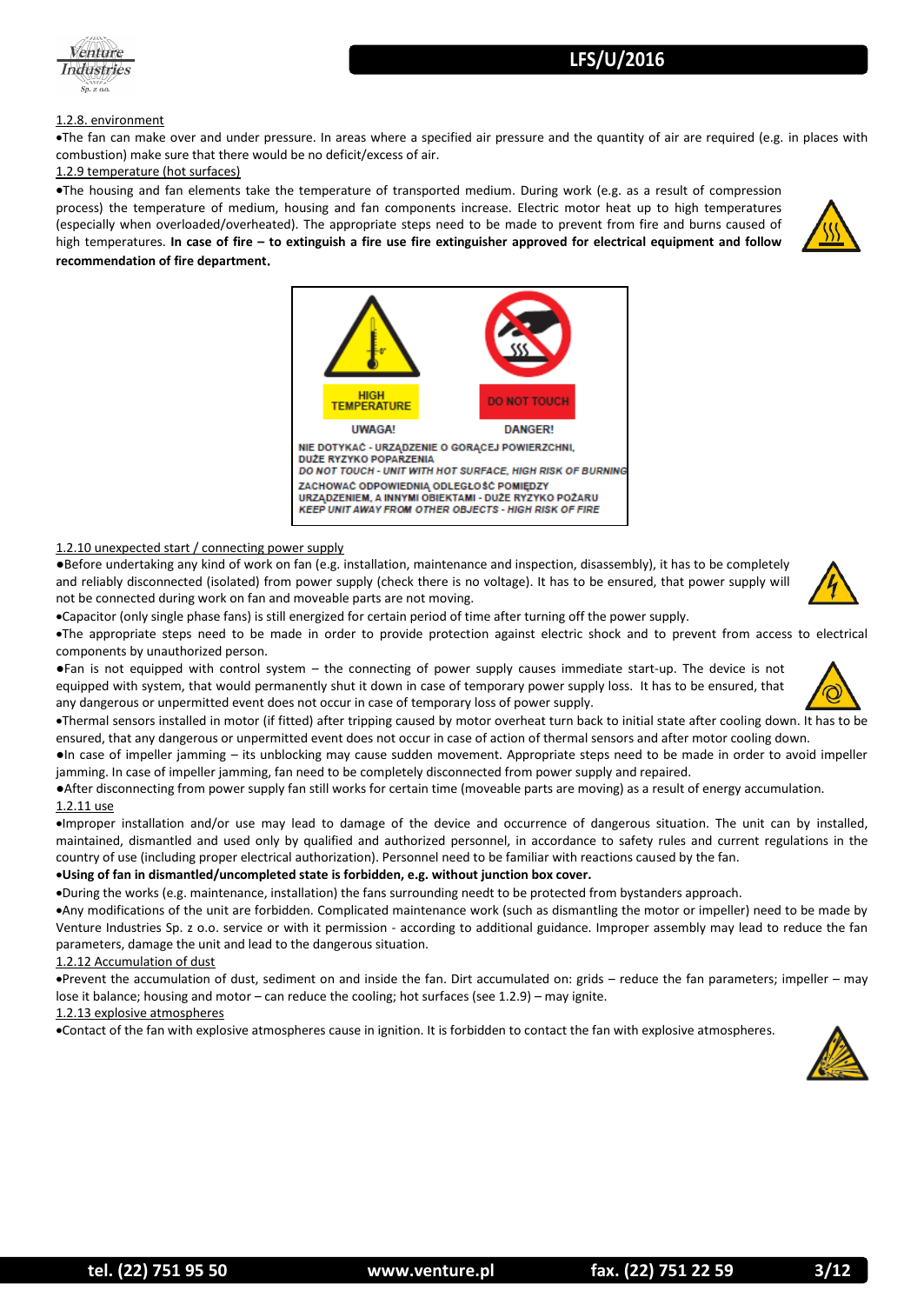

### 1.2.8. environment

The fan can make over and under pressure. In areas where a specified air pressure and the quantity of air are required (e.g. in places with combustion) make sure that there would be no deficit/excess of air.

### 1.2.9 temperature (hot surfaces)

The housing and fan elements take the temperature of transported medium. During work (e.g. as a result of compression process) the temperature of medium, housing and fan components increase. Electric motor heat up to high temperatures (especially when overloaded/overheated). The appropriate steps need to be made to prevent from fire and burns caused of high temperatures. **In case of fire – to extinguish a fire use fire extinguisher approved for electrical equipment and follow recommendation of fire department**.





### 1.2.10 unexpected start / connecting power supply

●Before undertaking any kind of work on fan (e.g. installation, maintenance and inspection, disassembly), it has to be completely and reliably disconnected (isolated) from power supply (check there is no voltage). It has to be ensured, that power supply will not be connected during work on fan and moveable parts are not moving.

Capacitor (only single phase fans) is still energized for certain period of time after turning off the power supply.

The appropriate steps need to be made in order to provide protection against electric shock and to prevent from access to electrical components by unauthorized person.

●Fan is not equipped with control system – the connecting of power supply causes immediate start-up. The device is not equipped with system, that would permanently shut it down in case of temporary power supply loss. It has to be ensured, that any dangerous or unpermitted event does not occur in case of temporary loss of power supply.



Thermal sensors installed in motor (if fitted) after tripping caused by motor overheat turn back to initial state after cooling down. It has to be ensured, that any dangerous or unpermitted event does not occur in case of action of thermal sensors and after motor cooling down.

●In case of impeller jamming – its unblocking may cause sudden movement. Appropriate steps need to be made in order to avoid impeller jamming. In case of impeller jamming, fan need to be completely disconnected from power supply and repaired.

●After disconnecting from power supply fan still works for certain time (moveable parts are moving) as a result of energy accumulation. 1.2.11 use

Improper installation and/or use may lead to damage of the device and occurrence of dangerous situation. The unit can by installed, maintained, dismantled and used only by qualified and authorized personnel, in accordance to safety rules and current regulations in the country of use (including proper electrical authorization). Personnel need to be familiar with reactions caused by the fan.

### **Using of fan in dismantled/uncompleted state is forbidden, e.g. without junction box cover.**

During the works (e.g. maintenance, installation) the fans surrounding needt to be protected from bystanders approach.

Any modifications of the unit are forbidden. Complicated maintenance work (such as dismantling the motor or impeller) need to be made by Venture Industries Sp. z o.o. service or with it permission - according to additional guidance. Improper assembly may lead to reduce the fan parameters, damage the unit and lead to the dangerous situation.

### 1.2.12 Accumulation of dust

Prevent the accumulation of dust, sediment on and inside the fan. Dirt accumulated on: grids – reduce the fan parameters; impeller – may lose it balance; housing and motor – can reduce the cooling; hot surfaces (see 1.2.9) – may ignite.

### 1.2.13 explosive atmospheres

Contact of the fan with explosive atmospheres cause in ignition. It is forbidden to contact the fan with explosive atmospheres.

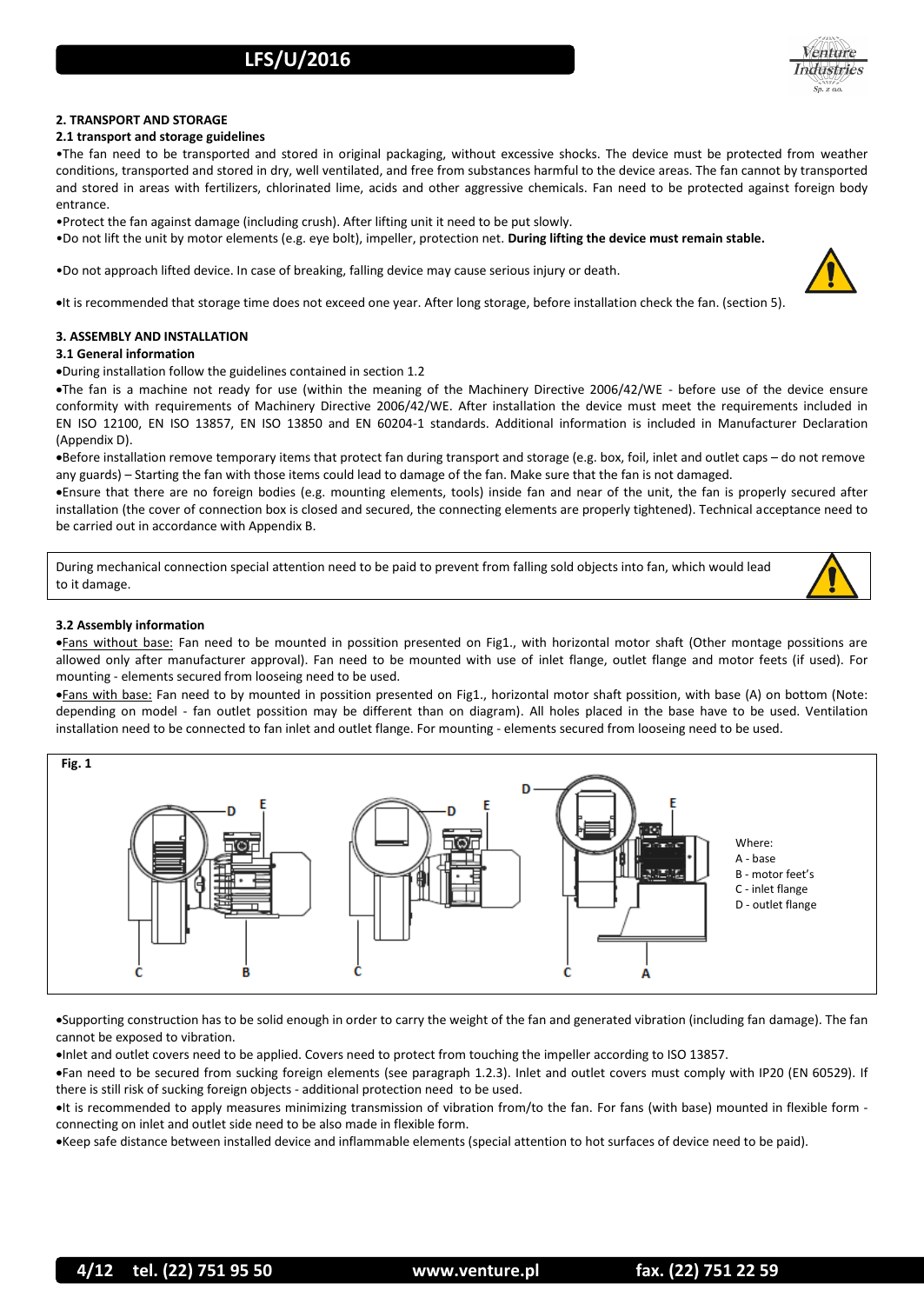

### **2. TRANSPORT AND STORAGE**

### **2.1 transport and storage guidelines**

•The fan need to be transported and stored in original packaging, without excessive shocks. The device must be protected from weather conditions, transported and stored in dry, well ventilated, and free from substances harmful to the device areas. The fan cannot by transported and stored in areas with fertilizers, chlorinated lime, acids and other aggressive chemicals. Fan need to be protected against foreign body entrance.

•Protect the fan against damage (including crush). After lifting unit it need to be put slowly.

•Do not lift the unit by motor elements (e.g. eye bolt), impeller, protection net. **During lifting the device must remain stable.**

•Do not approach lifted device. In case of breaking, falling device may cause serious injury or death.

It is recommended that storage time does not exceed one year. After long storage, before installation check the fan. (section 5).

### **3. ASSEMBLY AND INSTALLATION**

### **3.1 General information**

During installation follow the guidelines contained in section 1.2

The fan is a machine not ready for use (within the meaning of the Machinery Directive 2006/42/WE - before use of the device ensure conformity with requirements of Machinery Directive 2006/42/WE. After installation the device must meet the requirements included in EN ISO 12100, EN ISO 13857, EN ISO 13850 and EN 60204-1 standards. Additional information is included in Manufacturer Declaration (Appendix D).

Before installation remove temporary items that protect fan during transport and storage (e.g. box, foil, inlet and outlet caps – do not remove any guards) – Starting the fan with those items could lead to damage of the fan. Make sure that the fan is not damaged.

Ensure that there are no foreign bodies (e.g. mounting elements, tools) inside fan and near of the unit, the fan is properly secured after installation (the cover of connection box is closed and secured, the connecting elements are properly tightened). Technical acceptance need to be carried out in accordance with Appendix B.

During mechanical connection special attention need to be paid to prevent from falling sold objects into fan, which would lead to it damage.

### **3.2 Assembly information**

**.** Fans without base: Fan need to be mounted in possition presented on Fig1., with horizontal motor shaft (Other montage possitions are allowed only after manufacturer approval). Fan need to be mounted with use of inlet flange, outlet flange and motor feets (if used). For mounting - elements secured from looseing need to be used.

Fans with base: Fan need to by mounted in possition presented on Fig1., horizontal motor shaft possition, with base (A) on bottom (Note: depending on model - fan outlet possition may be different than on diagram). All holes placed in the base have to be used. Ventilation installation need to be connected to fan inlet and outlet flange. For mounting - elements secured from looseing need to be used.



Supporting construction has to be solid enough in order to carry the weight of the fan and generated vibration (including fan damage). The fan cannot be exposed to vibration.

Inlet and outlet covers need to be applied. Covers need to protect from touching the impeller according to ISO 13857.

Fan need to be secured from sucking foreign elements (see paragraph 1.2.3). Inlet and outlet covers must comply with IP20 (EN 60529). If there is still risk of sucking foreign objects - additional protection need to be used.

• It is recommended to apply measures minimizing transmission of vibration from/to the fan. For fans (with base) mounted in flexible form connecting on inlet and outlet side need to be also made in flexible form.

Keep safe distance between installed device and inflammable elements (special attention to hot surfaces of device need to be paid).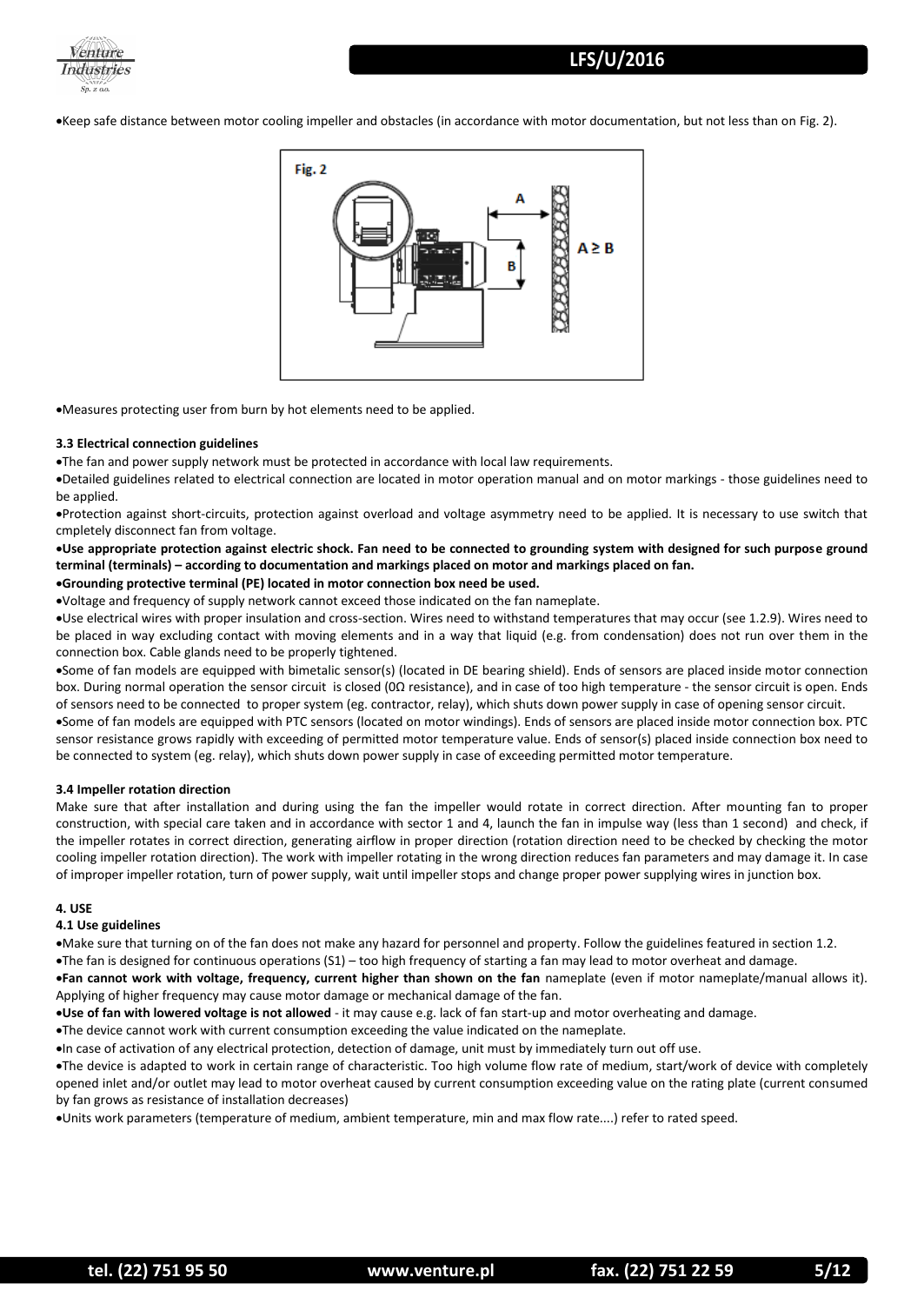

Keep safe distance between motor cooling impeller and obstacles (in accordance with motor documentation, but not less than on Fig. 2).



Measures protecting user from burn by hot elements need to be applied.

#### **3.3 Electrical connection guidelines**

The fan and power supply network must be protected in accordance with local law requirements.

Detailed guidelines related to electrical connection are located in motor operation manual and on motor markings - those guidelines need to be applied.

Protection against short-circuits, protection against overload and voltage asymmetry need to be applied. It is necessary to use switch that cmpletely disconnect fan from voltage.

**Use appropriate protection against electric shock. Fan need to be connected to grounding system with designed for such purpose ground terminal (terminals) – according to documentation and markings placed on motor and markings placed on fan. Grounding protective terminal (PE) located in motor connection box need be used.**

Voltage and frequency of supply network cannot exceed those indicated on the fan nameplate.

Use electrical wires with proper insulation and cross-section. Wires need to withstand temperatures that may occur (see 1.2.9). Wires need to be placed in way excluding contact with moving elements and in a way that liquid (e.g. from condensation) does not run over them in the connection box. Cable glands need to be properly tightened.

Some of fan models are equipped with bimetalic sensor(s) (located in DE bearing shield). Ends of sensors are placed inside motor connection box. During normal operation the sensor circuit is closed (0Ω resistance), and in case of too high temperature - the sensor circuit is open. Ends of sensors need to be connected to proper system (eg. contractor, relay), which shuts down power supply in case of opening sensor circuit.

Some of fan models are equipped with PTC sensors (located on motor windings). Ends of sensors are placed inside motor connection box. PTC sensor resistance grows rapidly with exceeding of permitted motor temperature value. Ends of sensor(s) placed inside connection box need to be connected to system (eg. relay), which shuts down power supply in case of exceeding permitted motor temperature.

### **3.4 Impeller rotation direction**

Make sure that after installation and during using the fan the impeller would rotate in correct direction. After mounting fan to proper construction, with special care taken and in accordance with sector 1 and 4, launch the fan in impulse way (less than 1 second) and check, if the impeller rotates in correct direction, generating airflow in proper direction (rotation direction need to be checked by checking the motor cooling impeller rotation direction). The work with impeller rotating in the wrong direction reduces fan parameters and may damage it. In case of improper impeller rotation, turn of power supply, wait until impeller stops and change proper power supplying wires in junction box.

### **4. USE**

#### **4.1 Use guidelines**

Make sure that turning on of the fan does not make any hazard for personnel and property. Follow the guidelines featured in section 1.2.

The fan is designed for continuous operations  $(S1)$  – too high frequency of starting a fan may lead to motor overheat and damage.

**Fan cannot work with voltage, frequency, current higher than shown on the fan** nameplate (even if motor nameplate/manual allows it). Applying of higher frequency may cause motor damage or mechanical damage of the fan.

**Use of fan with lowered voltage is not allowed** - it may cause e.g. lack of fan start-up and motor overheating and damage.

The device cannot work with current consumption exceeding the value indicated on the nameplate.

In case of activation of any electrical protection, detection of damage, unit must by immediately turn out off use.

The device is adapted to work in certain range of characteristic. Too high volume flow rate of medium, start/work of device with completely opened inlet and/or outlet may lead to motor overheat caused by current consumption exceeding value on the rating plate (current consumed by fan grows as resistance of installation decreases)

Units work parameters (temperature of medium, ambient temperature, min and max flow rate....) refer to rated speed.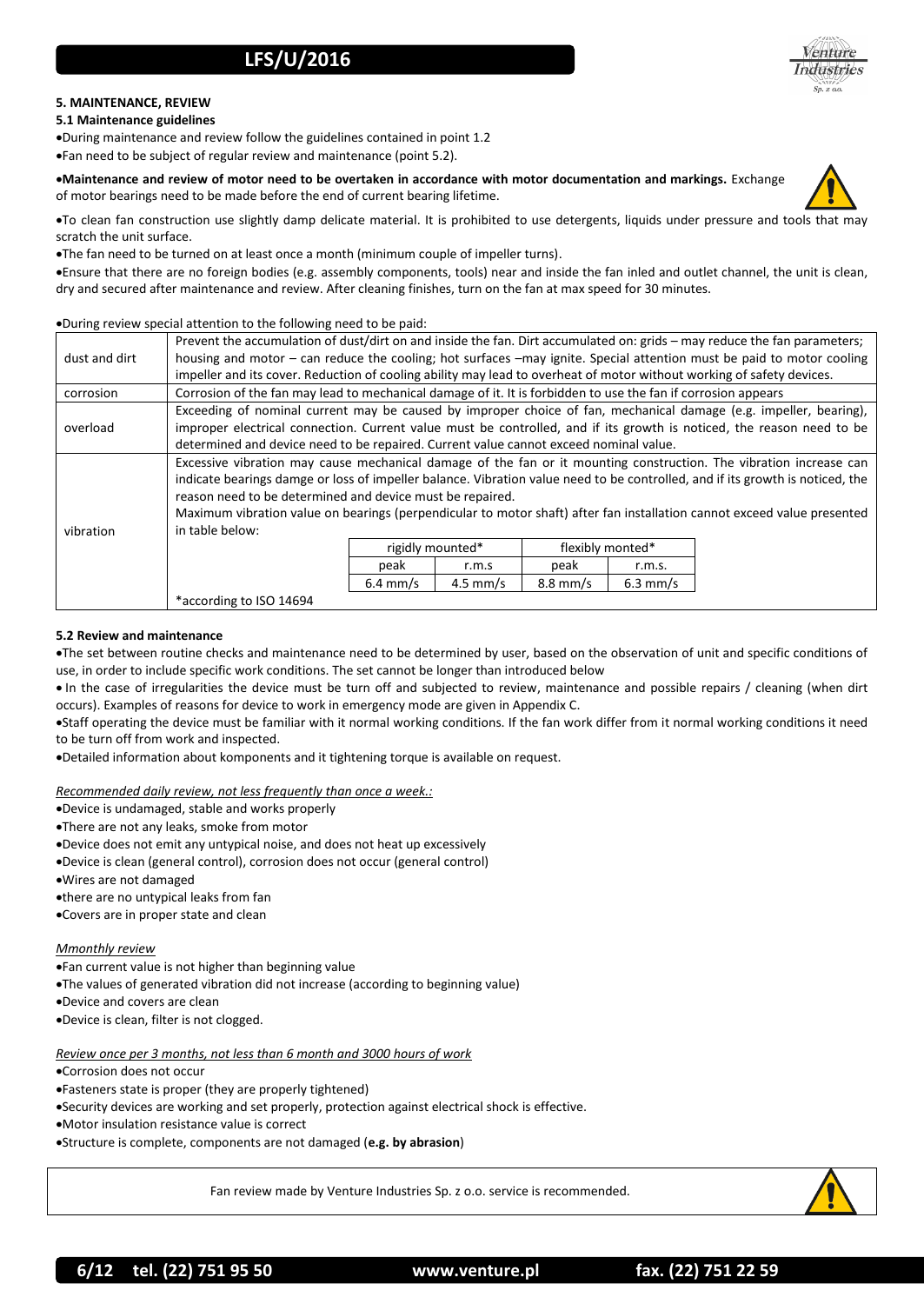

### **5. MAINTENANCE, REVIEW**

### **5.1 Maintenance guidelines**

During maintenance and review follow the guidelines contained in point 1.2 Fan need to be subject of regular review and maintenance (point 5.2).

**Maintenance and review of motor need to be overtaken in accordance with motor documentation and markings.** Exchange of motor bearings need to be made before the end of current bearing lifetime.



To clean fan construction use slightly damp delicate material. It is prohibited to use detergents, liquids under pressure and tools that may scratch the unit surface.

The fan need to be turned on at least once a month (minimum couple of impeller turns).

Ensure that there are no foreign bodies (e.g. assembly components, tools) near and inside the fan inled and outlet channel, the unit is clean, dry and secured after maintenance and review. After cleaning finishes, turn on the fan at max speed for 30 minutes.

### During review special attention to the following need to be paid:

| dust and dirt | Prevent the accumulation of dust/dirt on and inside the fan. Dirt accumulated on: grids – may reduce the fan parameters;      |                    |                    |                    |            |  |  |
|---------------|-------------------------------------------------------------------------------------------------------------------------------|--------------------|--------------------|--------------------|------------|--|--|
|               | housing and motor – can reduce the cooling; hot surfaces –may ignite. Special attention must be paid to motor cooling         |                    |                    |                    |            |  |  |
|               | impeller and its cover. Reduction of cooling ability may lead to overheat of motor without working of safety devices.         |                    |                    |                    |            |  |  |
| corrosion     | Corrosion of the fan may lead to mechanical damage of it. It is forbidden to use the fan if corrosion appears                 |                    |                    |                    |            |  |  |
| overload      | Exceeding of nominal current may be caused by improper choice of fan, mechanical damage (e.g. impeller, bearing),             |                    |                    |                    |            |  |  |
|               | improper electrical connection. Current value must be controlled, and if its growth is noticed, the reason need to be         |                    |                    |                    |            |  |  |
|               | determined and device need to be repaired. Current value cannot exceed nominal value.                                         |                    |                    |                    |            |  |  |
| vibration     | Excessive vibration may cause mechanical damage of the fan or it mounting construction. The vibration increase can            |                    |                    |                    |            |  |  |
|               | indicate bearings damge or loss of impeller balance. Vibration value need to be controlled, and if its growth is noticed, the |                    |                    |                    |            |  |  |
|               | reason need to be determined and device must be repaired.                                                                     |                    |                    |                    |            |  |  |
|               | Maximum vibration value on bearings (perpendicular to motor shaft) after fan installation cannot exceed value presented       |                    |                    |                    |            |  |  |
|               | in table below:                                                                                                               |                    |                    |                    |            |  |  |
|               |                                                                                                                               | rigidly mounted*   |                    | flexibly monted*   |            |  |  |
|               |                                                                                                                               | peak               | r.m.s              | peak               | r.m.s.     |  |  |
|               |                                                                                                                               | $6.4 \text{ mm/s}$ | $4.5 \text{ mm/s}$ | $8.8 \text{ mm/s}$ | $6.3$ mm/s |  |  |
|               | *according to ISO 14694                                                                                                       |                    |                    |                    |            |  |  |

### **5.2 Review and maintenance**

The set between routine checks and maintenance need to be determined by user, based on the observation of unit and specific conditions of use, in order to include specific work conditions. The set cannot be longer than introduced below

 In the case of irregularities the device must be turn off and subjected to review, maintenance and possible repairs / cleaning (when dirt occurs). Examples of reasons for device to work in emergency mode are given in Appendix C.

Staff operating the device must be familiar with it normal working conditions. If the fan work differ from it normal working conditions it need to be turn off from work and inspected.

Detailed information about komponents and it tightening torque is available on request.

*Recommended daily review, not less frequently than once a week.:*

- Device is undamaged, stable and works properly
- There are not any leaks, smoke from motor

Device does not emit any untypical noise, and does not heat up excessively

Device is clean (general control), corrosion does not occur (general control)

Wires are not damaged

there are no untypical leaks from fan

Covers are in proper state and clean

### *Mmonthly review*

Fan current value is not higher than beginning value

The values of generated vibration did not increase (according to beginning value)

Device and covers are clean

Device is clean, filter is not clogged.

*Review once per 3 months, not less than 6 month and 3000 hours of work*

Corrosion does not occur

Fasteners state is proper (they are properly tightened)

Security devices are working and set properly, protection against electrical shock is effective.

Motor insulation resistance value is correct

Structure is complete, components are not damaged (**e.g. by abrasion**)

Fan review made by Venture Industries Sp. z o.o. service is recommended.

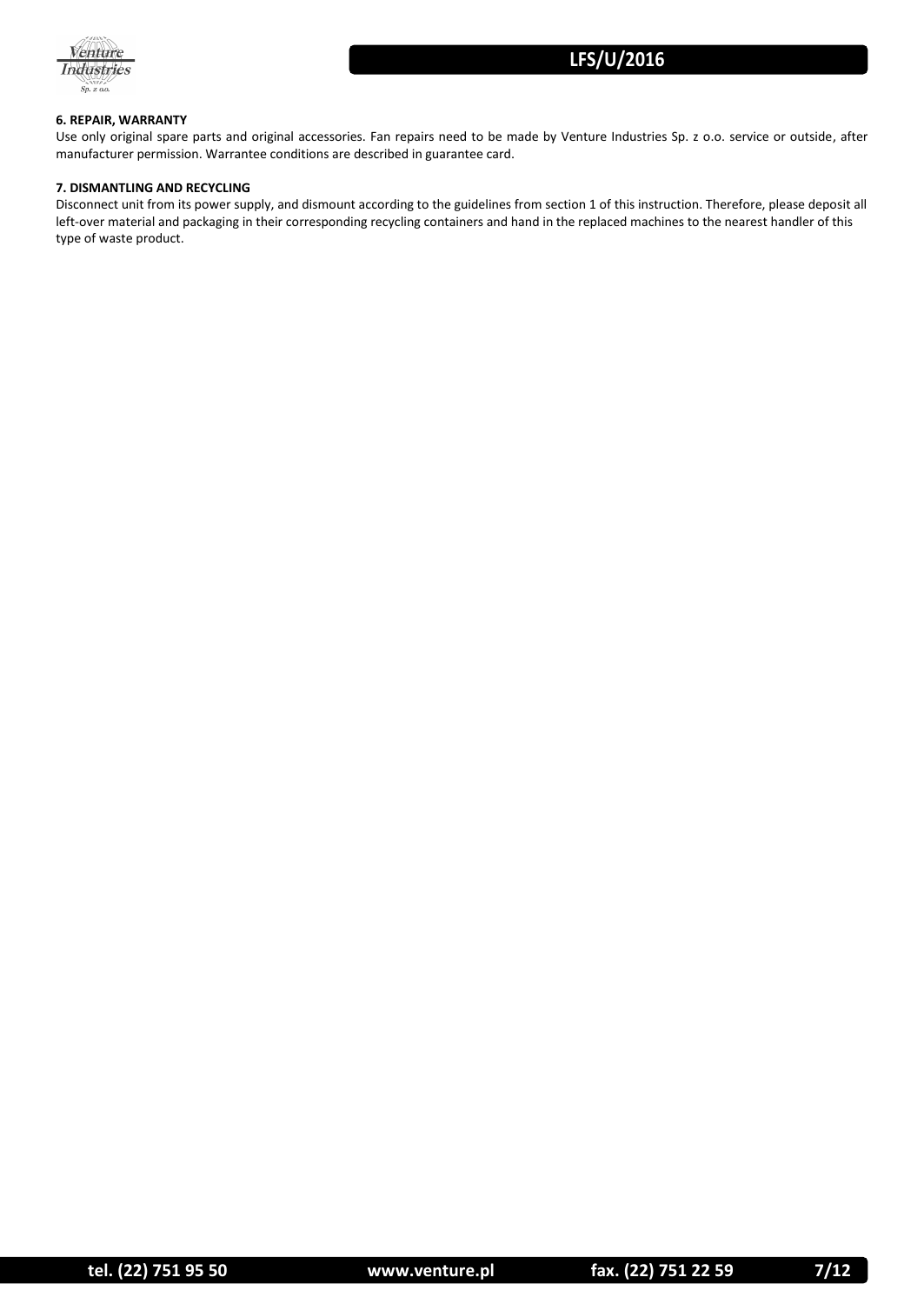

### **6. REPAIR, WARRANTY**

Use only original spare parts and original accessories. Fan repairs need to be made by Venture Industries Sp. z o.o. service or outside, after manufacturer permission. Warrantee conditions are described in guarantee card.

### **7. DISMANTLING AND RECYCLING**

Disconnect unit from its power supply, and dismount according to the guidelines from section 1 of this instruction. Therefore, please deposit all left-over material and packaging in their corresponding recycling containers and hand in the replaced machines to the nearest handler of this type of waste product.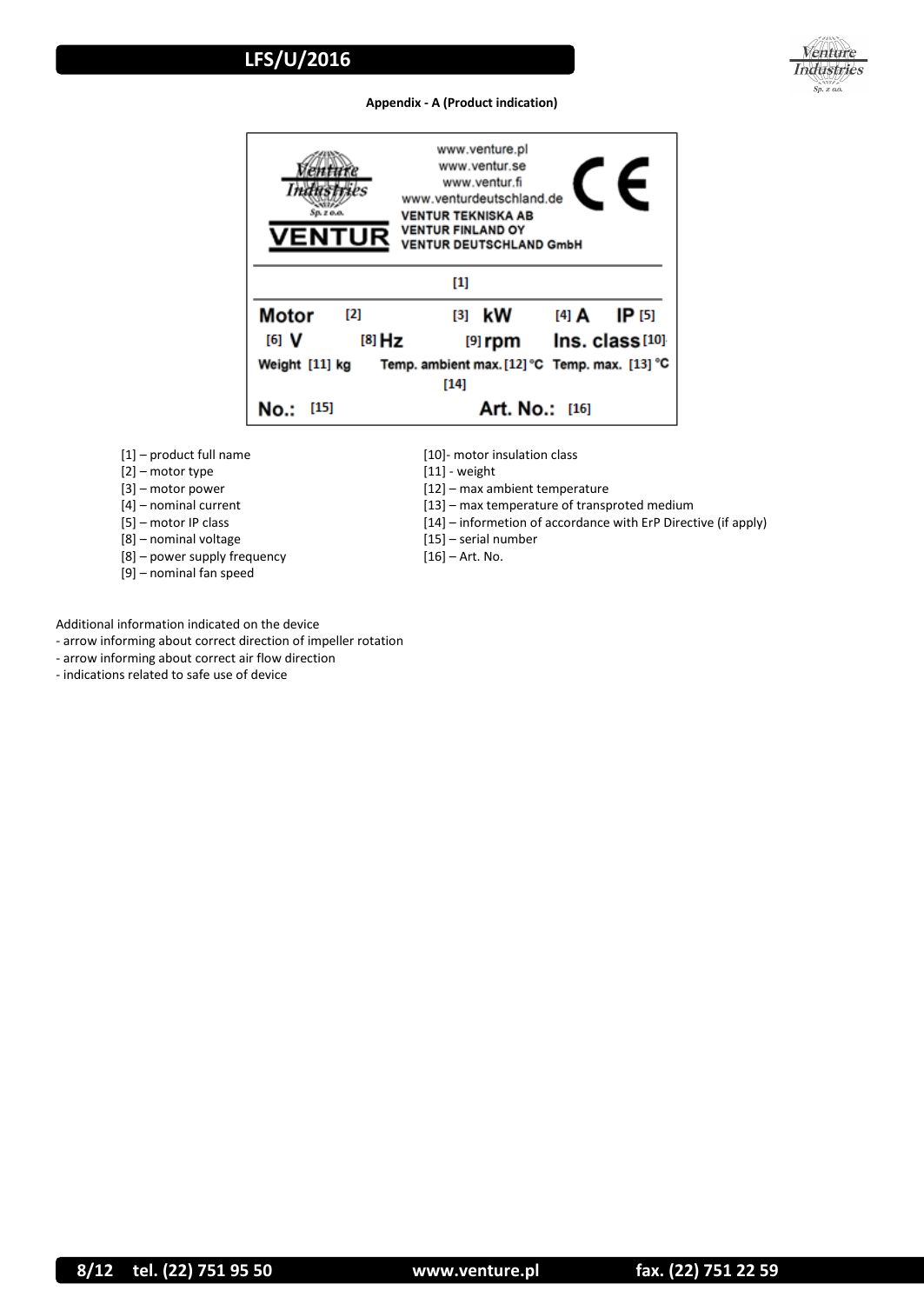

### **Appendix - A (Product indication)**



[1] – product full name

[2] – motor type

- [3] motor power
- [4] nominal current
- [5] motor IP class
- [8] nominal voltage
- [8] power supply frequency
- [9] nominal fan speed

[10]- motor insulation class

- [11] weight
- [12] max ambient temperature
- [13] max temperature of transproted medium
- [14] informetion of accordance with ErP Directive (if apply)
- [15] serial number
- [16] Art. No.
- Additional information indicated on the device
- arrow informing about correct direction of impeller rotation
- arrow informing about correct air flow direction
- indications related to safe use of device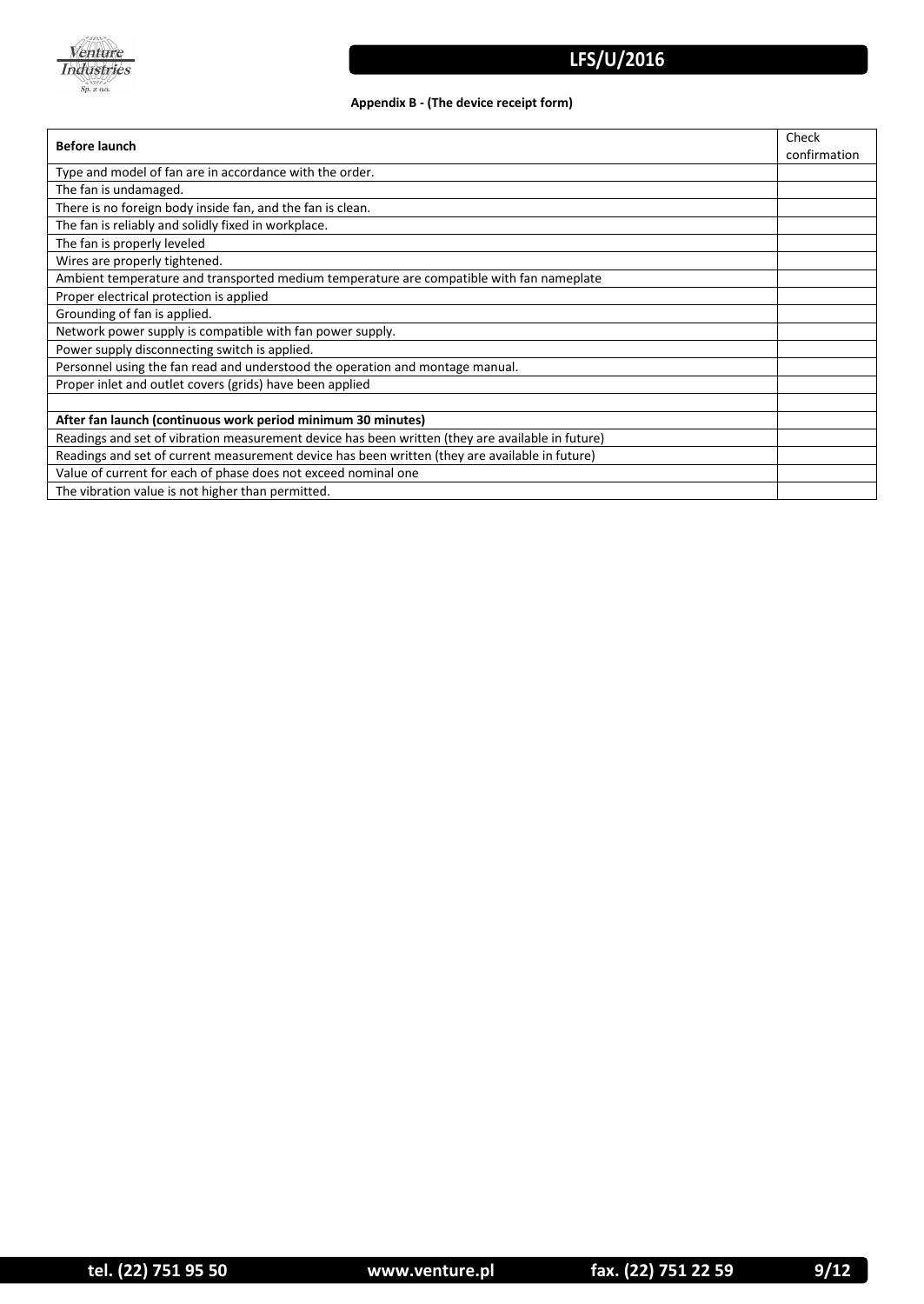

### **Appendix B - (The device receipt form)**

| <b>Before launch</b>                                                                             | Check<br>confirmation |  |
|--------------------------------------------------------------------------------------------------|-----------------------|--|
| Type and model of fan are in accordance with the order.                                          |                       |  |
| The fan is undamaged.                                                                            |                       |  |
| There is no foreign body inside fan, and the fan is clean.                                       |                       |  |
| The fan is reliably and solidly fixed in workplace.                                              |                       |  |
| The fan is properly leveled                                                                      |                       |  |
| Wires are properly tightened.                                                                    |                       |  |
| Ambient temperature and transported medium temperature are compatible with fan nameplate         |                       |  |
| Proper electrical protection is applied                                                          |                       |  |
| Grounding of fan is applied.                                                                     |                       |  |
| Network power supply is compatible with fan power supply.                                        |                       |  |
| Power supply disconnecting switch is applied.                                                    |                       |  |
| Personnel using the fan read and understood the operation and montage manual.                    |                       |  |
| Proper inlet and outlet covers (grids) have been applied                                         |                       |  |
|                                                                                                  |                       |  |
| After fan launch (continuous work period minimum 30 minutes)                                     |                       |  |
| Readings and set of vibration measurement device has been written (they are available in future) |                       |  |
| Readings and set of current measurement device has been written (they are available in future)   |                       |  |
| Value of current for each of phase does not exceed nominal one                                   |                       |  |
| The vibration value is not higher than permitted.                                                |                       |  |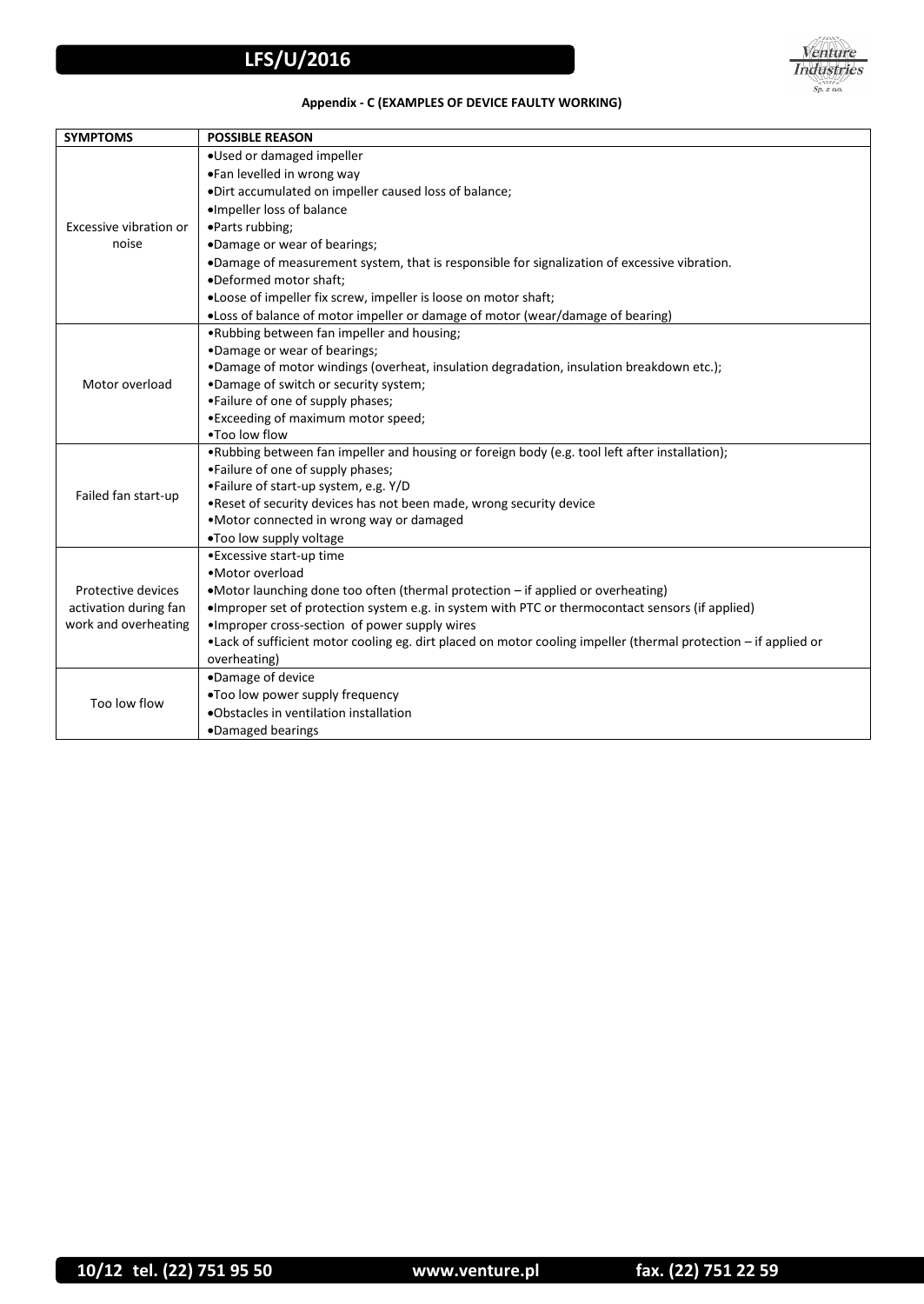

### **Appendix - C (EXAMPLES OF DEVICE FAULTY WORKING)**

| <b>SYMPTOMS</b>                               | <b>POSSIBLE REASON</b>                                                                                                                                            |  |  |
|-----------------------------------------------|-------------------------------------------------------------------------------------------------------------------------------------------------------------------|--|--|
|                                               | .Used or damaged impeller                                                                                                                                         |  |  |
|                                               | •Fan levelled in wrong way                                                                                                                                        |  |  |
|                                               | .Dirt accumulated on impeller caused loss of balance;                                                                                                             |  |  |
| Excessive vibration or                        | ·Impeller loss of balance                                                                                                                                         |  |  |
|                                               | •Parts rubbing;                                                                                                                                                   |  |  |
| noise                                         | •Damage or wear of bearings;                                                                                                                                      |  |  |
|                                               | .Damage of measurement system, that is responsible for signalization of excessive vibration.                                                                      |  |  |
|                                               | .Deformed motor shaft;                                                                                                                                            |  |  |
|                                               | .Loose of impeller fix screw, impeller is loose on motor shaft;                                                                                                   |  |  |
|                                               | .Loss of balance of motor impeller or damage of motor (wear/damage of bearing)                                                                                    |  |  |
|                                               | .Rubbing between fan impeller and housing;                                                                                                                        |  |  |
|                                               | •Damage or wear of bearings;                                                                                                                                      |  |  |
|                                               | .Damage of motor windings (overheat, insulation degradation, insulation breakdown etc.);                                                                          |  |  |
| Motor overload                                | .Damage of switch or security system;                                                                                                                             |  |  |
|                                               | •Failure of one of supply phases;                                                                                                                                 |  |  |
|                                               | • Exceeding of maximum motor speed;                                                                                                                               |  |  |
|                                               | . Too low flow                                                                                                                                                    |  |  |
|                                               | . Rubbing between fan impeller and housing or foreign body (e.g. tool left after installation);                                                                   |  |  |
|                                               | •Failure of one of supply phases;                                                                                                                                 |  |  |
| Failed fan start-up                           | •Failure of start-up system, e.g. Y/D                                                                                                                             |  |  |
|                                               | . Reset of security devices has not been made, wrong security device                                                                                              |  |  |
|                                               | •Motor connected in wrong way or damaged                                                                                                                          |  |  |
|                                               | .Too low supply voltage                                                                                                                                           |  |  |
|                                               | • Excessive start-up time<br>• Motor overload                                                                                                                     |  |  |
|                                               |                                                                                                                                                                   |  |  |
| Protective devices                            | •Motor launching done too often (thermal protection - if applied or overheating)                                                                                  |  |  |
| activation during fan<br>work and overheating | •Improper set of protection system e.g. in system with PTC or thermocontact sensors (if applied)                                                                  |  |  |
|                                               | • Improper cross-section of power supply wires<br>•Lack of sufficient motor cooling eg. dirt placed on motor cooling impeller (thermal protection - if applied or |  |  |
|                                               | overheating)                                                                                                                                                      |  |  |
|                                               | ·Damage of device                                                                                                                                                 |  |  |
| Too low flow                                  | .Too low power supply frequency                                                                                                                                   |  |  |
|                                               | .Obstacles in ventilation installation                                                                                                                            |  |  |
|                                               | ·Damaged bearings                                                                                                                                                 |  |  |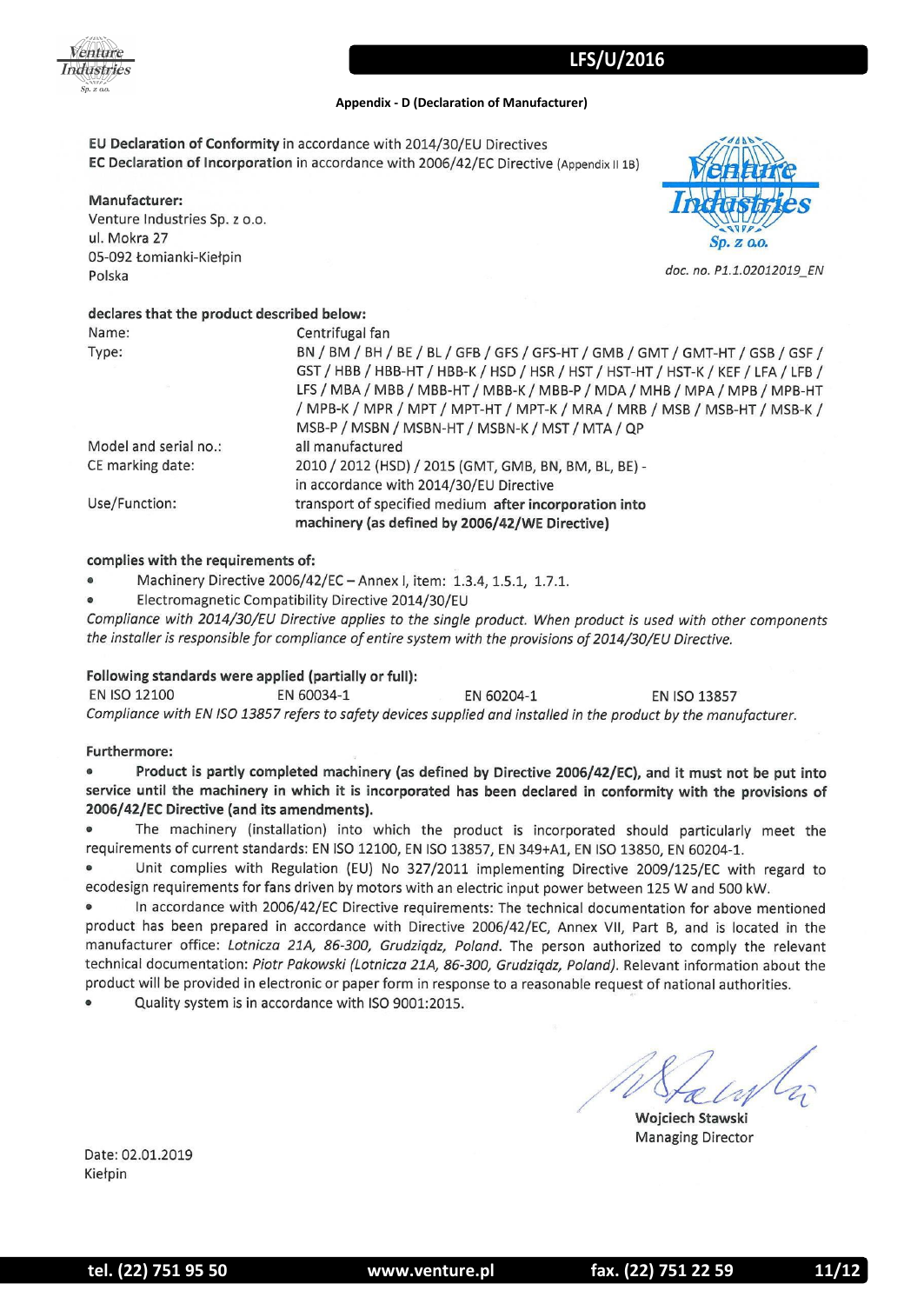

### **Appendix - D (Declaration of Manufacturer)**

EU Declaration of Conformity in accordance with 2014/30/EU Directives EC Declaration of Incorporation in accordance with 2006/42/EC Directive (Appendix II 1B)

### Manufacturer:

Venture Industries Sp. z o.o. ul. Mokra 27 05-092 Łomianki-Kiełpin Polska



doc. no. P1.1.02012019 EN

### declares that the product described below:

| Name:                 | Centrifugal fan                                                                                                                                                                                                                                  |
|-----------------------|--------------------------------------------------------------------------------------------------------------------------------------------------------------------------------------------------------------------------------------------------|
| Type:                 | BN / BM / BH / BE / BL / GFB / GFS / GFS-HT / GMB / GMT / GMT-HT / GSB / GSF /<br>GST / HBB / HBB-HT / HBB-K / HSD / HSR / HST / HST-HT / HST-K / KEF / LFA / LFB /<br>LFS / MBA / MBB / MBB-HT / MBB-K / MBB-P / MDA / MHB / MPA / MPB / MPB-HT |
|                       | / MPB-K / MPR / MPT / MPT-HT / MPT-K / MRA / MRB / MSB / MSB-HT / MSB-K /<br>MSB-P / MSBN / MSBN-HT / MSBN-K / MST / MTA / QP                                                                                                                    |
| Model and serial no.: | all manufactured                                                                                                                                                                                                                                 |
| CE marking date:      | 2010 / 2012 (HSD) / 2015 (GMT, GMB, BN, BM, BL, BE) -<br>in accordance with 2014/30/EU Directive                                                                                                                                                 |
| Use/Function:         | transport of specified medium after incorporation into<br>machinery (as defined by 2006/42/WE Directive)                                                                                                                                         |

### complies with the requirements of:

Machinery Directive 2006/42/EC - Annex I, item: 1.3.4, 1.5.1, 1.7.1.

Electromagnetic Compatibility Directive 2014/30/EU

Compliance with 2014/30/EU Directive applies to the single product. When product is used with other components the installer is responsible for compliance of entire system with the provisions of 2014/30/EU Directive.

### Following standards were applied (partially or full):

**EN ISO 12100** EN 60034-1 EN 60204-1 EN ISO 13857 Compliance with EN ISO 13857 refers to safety devices supplied and installed in the product by the manufacturer.

### Furthermore:

 $\bullet$ Product is partly completed machinery (as defined by Directive 2006/42/EC), and it must not be put into service until the machinery in which it is incorporated has been declared in conformity with the provisions of 2006/42/EC Directive (and its amendments).

The machinery (installation) into which the product is incorporated should particularly meet the  $\bullet$ requirements of current standards: EN ISO 12100, EN ISO 13857, EN 349+A1, EN ISO 13850, EN 60204-1.

Unit complies with Regulation (EU) No 327/2011 implementing Directive 2009/125/EC with regard to ecodesign requirements for fans driven by motors with an electric input power between 125 W and 500 kW.

 $\bullet$ In accordance with 2006/42/EC Directive requirements: The technical documentation for above mentioned product has been prepared in accordance with Directive 2006/42/EC, Annex VII, Part B, and is located in the manufacturer office: Lotnicza 21A, 86-300, Grudziądz, Poland. The person authorized to comply the relevant technical documentation: Piotr Pakowski (Lotnicza 21A, 86-300, Grudziądz, Poland). Relevant information about the product will be provided in electronic or paper form in response to a reasonable request of national authorities.

Quality system is in accordance with ISO 9001:2015.

Wojciech Stawski **Managing Director** 

Date: 02.01.2019 Kiełpin